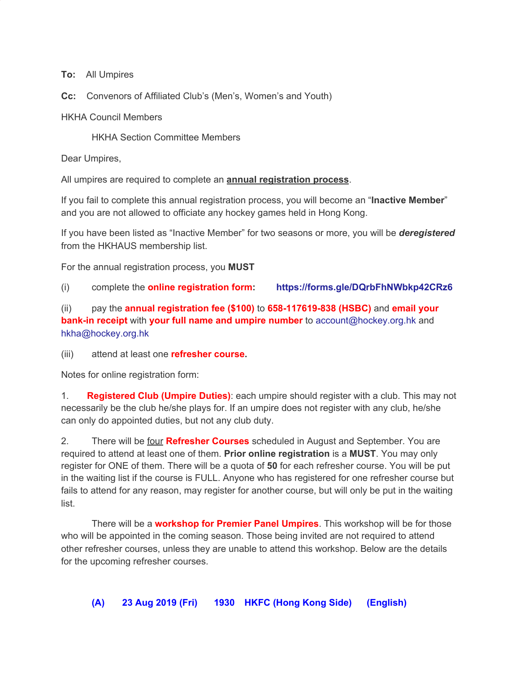**To:** All Umpires

**Cc:** Convenors of Affiliated Club's (Men's, Women's and Youth)

HKHA Council Members

HKHA Section Committee Members

Dear Umpires,

All umpires are required to complete an **annual registration process**.

If you fail to complete this annual registration process, you will become an "**Inactive Member**" and you are not allowed to officiate any hockey games held in Hong Kong.

If you have been listed as "Inactive Member" for two seasons or more, you will be *deregistered* from the HKHAUS membership list.

For the annual registration process, you **MUST**

(i) complete the **online registration form: <https://forms.gle/DQrbFhNWbkp42CRz6>**

(ii) pay the **annual registration fee (\$100)** to **658-117619-838 (HSBC)** and **email your bank-in receipt** with **your full name and umpire number** to account@hockey.org.hk and hkha@hockey.org.hk

(iii) attend at least one **refresher course.**

Notes for online registration form:

1. **Registered Club (Umpire Duties)**: each umpire should register with a club. This may not necessarily be the club he/she plays for. If an umpire does not register with any club, he/she can only do appointed duties, but not any club duty.

2. There will be four **Refresher Courses** scheduled in August and September. You are required to attend at least one of them. **Prior online registration** is a **MUST**. You may only register for ONE of them. There will be a quota of **50** for each refresher course. You will be put in the waiting list if the course is FULL. Anyone who has registered for one refresher course but fails to attend for any reason, may register for another course, but will only be put in the waiting list.

There will be a **workshop for Premier Panel Umpires**. This workshop will be for those who will be appointed in the coming season. Those being invited are not required to attend other refresher courses, unless they are unable to attend this workshop. Below are the details for the upcoming refresher courses.